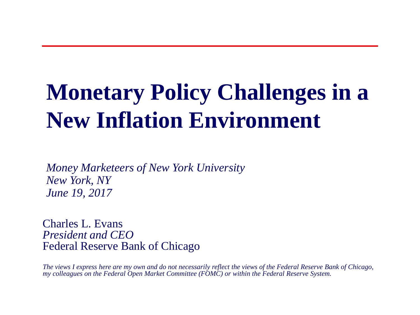# **Monetary Policy Challenges in a New Inflation Environment**

*Money Marketeers of New York University New York, NY June 19, 2017*

Charles L. Evans *President and CEO* Federal Reserve Bank of Chicago

*The views I express here are my own and do not necessarily reflect the views of the Federal Reserve Bank of Chicago, my colleagues on the Federal Open Market Committee (FOMC) or within the Federal Reserve System.*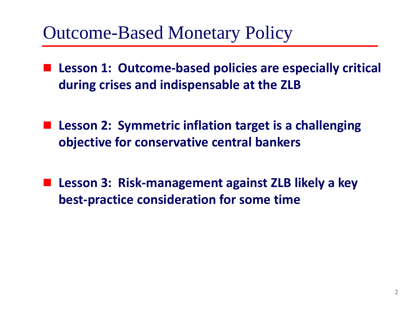### Outcome-Based Monetary Policy

- **Lesson 1: Outcome-based policies are especially critical during crises and indispensable at the ZLB**
- Lesson 2: Symmetric inflation target is a challenging **objective for conservative central bankers**
- Lesson 3: Risk-management against ZLB likely a key **best-practice consideration for some time**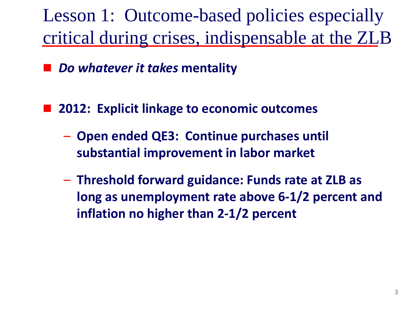Lesson 1: Outcome-based policies especially critical during crises, indispensable at the ZLB

*Do whatever it takes* **mentality**

■ 2012: Explicit linkage to economic outcomes

- **Open ended QE3: Continue purchases until substantial improvement in labor market**
- **Threshold forward guidance: Funds rate at ZLB as long as unemployment rate above 6-1/2 percent and inflation no higher than 2-1/2 percent**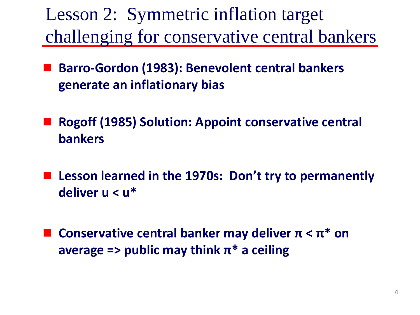Lesson 2: Symmetric inflation target challenging for conservative central bankers

- **Barro-Gordon (1983): Benevolent central bankers generate an inflationary bias**
- **Rogoff (1985) Solution: Appoint conservative central bankers**
- Lesson learned in the 1970s: Don't try to permanently **deliver u < u\***
- **Conservative central banker may deliver π < π\* on average => public may think π\* a ceiling**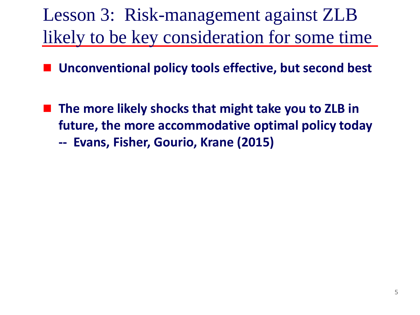Lesson 3: Risk-management against ZLB likely to be key consideration for some time

**Unconventional policy tools effective, but second best**

 **The more likely shocks that might take you to ZLB in future, the more accommodative optimal policy today -- Evans, Fisher, Gourio, Krane (2015)**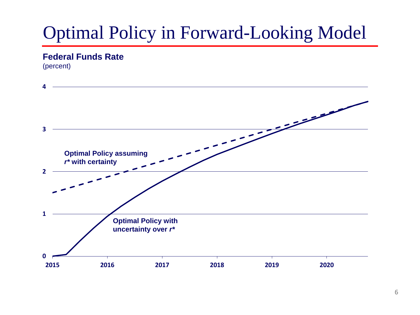#### **Federal Funds Rate**

(percent)

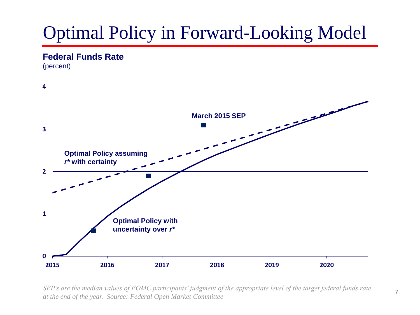#### **Federal Funds Rate**

(percent)



*SEP's are the median values of FOMC participants' judgment of the appropriate level of the target federal funds rate at the end of the year. Source: Federal Open Market Committee*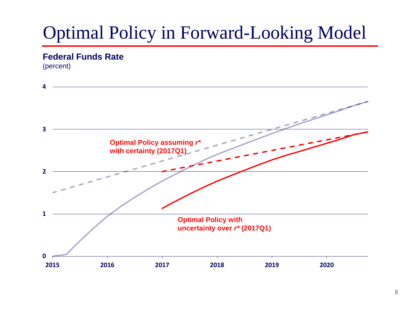#### **Federal Funds Rate**

(percent)